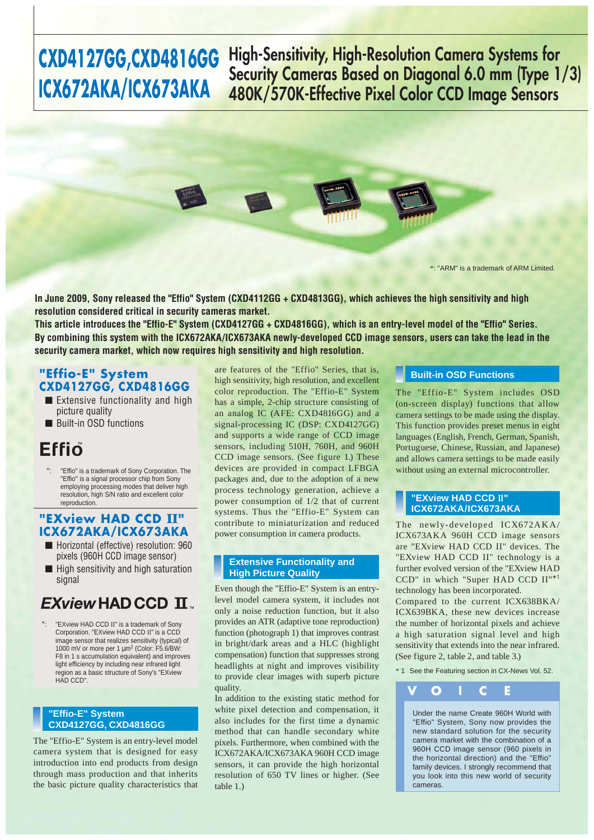**CXD4127GG,CXD4816GG** High-Sensitivity, High-Resolution Camera Systems for **Security Cameras Based on Diagonal 6.0 mm (Type 1/3) ICA0/ ZANA/ICA0/ JANA** 480K/570K-Effective Pixel Color CCD Image Sensors

\*: "ARM" is a trademark of ARM Limited.

**In June 2009, Sony released the "Effio" System (CXD4112GG + CXD4813GG), which achieves the high sensitivity and high resolution considered critical in security cameras market.**

**This article introduces the "Effio-E" System (CXD4127GG + CXD4816GG), which is an entry-level model of the "Effio" Series. By combining this system with the ICX672AKA/ICX673AKA newly-developed CCD image sensors, users can take the lead in the security camera market, which now requires high sensitivity and high resolution.**

# **CXD4127GG, CXD4816GG**

- Extensive functionality and high picture quality
- Built-in OSD functions

# **Effio**

"Effio" is a trademark of Sony Corporation. The "Effio" is a signal processor chip from Sony employing processing modes that deliver high resolution, high S/N ratio and excellent color reproduction.

### **"EXview HAD CCD II" ICX672AKA/ICX673AKA**

- Horizontal (effective) resolution: 960 pixels (960H CCD image sensor)
- - High sensitivity and high saturation signal

## $EXview$ HADCCD  $\text{II}_{n}$

"EXview HAD CCD II" is a trademark of Sony Corporation. "EXview HAD CCD II" is a CCD image sensor that realizes sensitivity (typical) of 1000 mV or more per 1 μm<sup>2</sup> (Color: F5.6/BW: F8 in 1 s accumulation equivalent) and improves light efficiency by including near infrared light region as a basic structure of Sony's "EXview HAD CCD".

#### **"Effio-E" System CXD4127GG, CXD4816GG**

The "Effio-E" System is an entry-level model camera system that is designed for easy introduction into end products from design through mass production and that inherits the basic picture quality characteristics that

are features of the "Effio" Series, that is, high sensitivity, high resolution, and excellent color reproduction. The "Effio-E" System has a simple, 2-chip structure consisting of an analog IC (AFE: CXD4816GG) and a signal-processing IC (DSP: CXD4127GG) and supports a wide range of CCD image sensors, including 510H, 760H, and 960H CCD image sensors. (See figure 1.) These devices are provided in compact LFBGA packages and, due to the adoption of a new process technology generation, achieve a power consumption of 1/2 that of current systems. Thus the "Effio-E" System can contribute to miniaturization and reduced power consumption in camera products. **"Effio-E" System** are features of the "Effio" Series, that is, Built-in OSD Functions

#### **Extensive Functionality and High Picture Quality**

Even though the "Effio-E" System is an entrylevel model camera system, it includes not only a noise reduction function, but it also provides an ATR (adaptive tone reproduction) function (photograph 1) that improves contrast in bright/dark areas and a HLC (highlight compensation) function that suppresses strong headlights at night and improves visibility to provide clear images with superb picture quality.

In addition to the existing static method for white pixel detection and compensation, it also includes for the first time a dynamic method that can handle secondary white pixels. Furthermore, when combined with the ICX672AKA/ICX673AKA 960H CCD image sensors, it can provide the high horizontal resolution of 650 TV lines or higher. (See table 1.)

The "Effio-E" System includes OSD (on-screen display) functions that allow camera settings to be made using the display. This function provides preset menus in eight languages (English, French, German, Spanish, Portuguese, Chinese, Russian, and Japanese) and allows camera settings to be made easily without using an external microcontroller.

#### **"EXview HAD CCD II" ICX672AKA/ICX673AKA**

The newly-developed ICX672AKA/ ICX673AKA 960H CCD image sensors are "EXview HAD CCD II" devices. The "EXview HAD CCD II" technology is a further evolved version of the "EXview HAD CCD" in which "Super HAD CCD II"\*<sup>1</sup> technology has been incorporated.

Compared to the current ICX638BKA/ ICX639BKA, these new devices increase the number of horizontal pixels and achieve a high saturation signal level and high sensitivity that extends into the near infrared. (See figure 2, table 2, and table 3.)

\* 1 See the Featuring section in CX-News Vol. 52.



Under the name Create 960H World with "Effio" System, Sony now provides the new standard solution for the security camera market with the combination of a 960H CCD image sensor (960 pixels in the horizontal direction) and the "Effio" family devices. I strongly recommend that you look into this new world of security cameras.